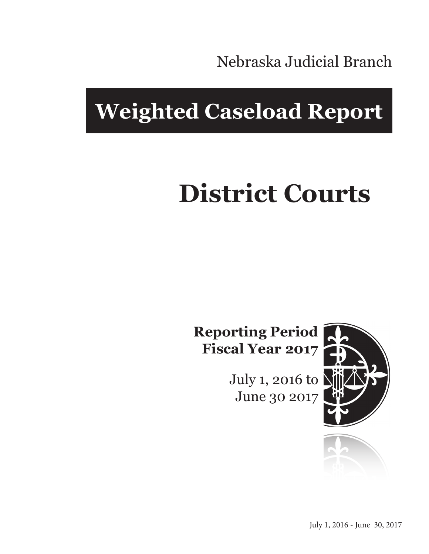Nebraska Judicial Branch

## **Weighted Caseload Report**

# **District Courts**

**Reporting Period Fiscal Year 2017**

> July 1, 2016 to June 30 2017



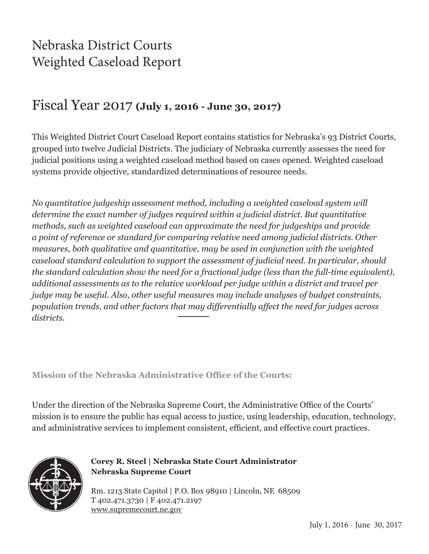## Nebraska District Courts Weighted Caseload Report

#### Fiscal Year 2017 **(July 1, 2016 - June 30, 2017)**

This Weighted District Court Caseload Report contains statistics for Nebraska's 93 District Courts, grouped into twelve Judicial Districts. The judiciary of Nebraska currently assesses the need for judicial positions using a weighted caseload method based on cases opened. Weighted caseload systems provide objective, standardized determinations of resource needs.

*No quantitative judgeship assessment method, including a weighted caseload system will determine the exact number of judges required within a judicial district. But quantitative methods, such as weighted caseload can approximate the need for judgeships and provide a point of reference or standard for comparing relative need among judicial districts. Other measures, both qualitative and quantitative, may be used in conjunction with the weighted caseload standard calculation to support the assessment of judicial need. In particular, should the standard calculation show the need for a fractional judge (less than the full-time equivalent), additional assessments as to the relative workload per judge within a district and travel per judge may be useful. Also, other useful measures may include analyses of budget constraints, population trends, and other factors that may differentially affect the need for judges across districts.*

**Mission of the Nebraska Administrative Office of the Courts:**

Under the direction of the Nebraska Supreme Court, the Administrative Office of the Courts' mission is to ensure the public has equal access to justice, using leadership, education, technology, and administrative services to implement consistent, efficient, and effective court practices.



**Corey R. Steel | Nebraska State Court Administrator Nebraska Supreme Court**

Rm. 1213 State Capitol | P.O. Box 98910 | Lincoln, NE 68509 T 402.471.3730 | F 402.471.2197 www.supremecourt.ne.gov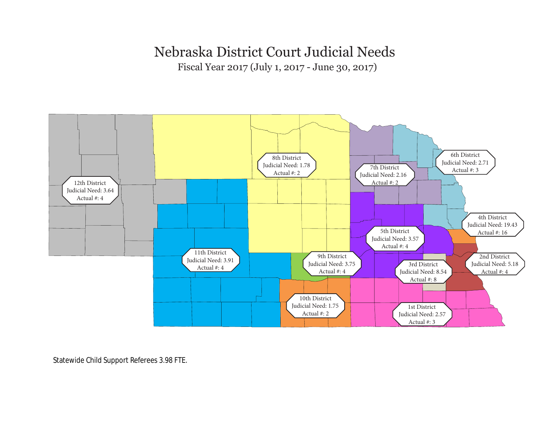#### Nebraska District Court Judicial Needs

Fiscal Year 2017 (July 1, 2017 - June 30, 2017)



Statewide Child Support Referees 3.98 FTE.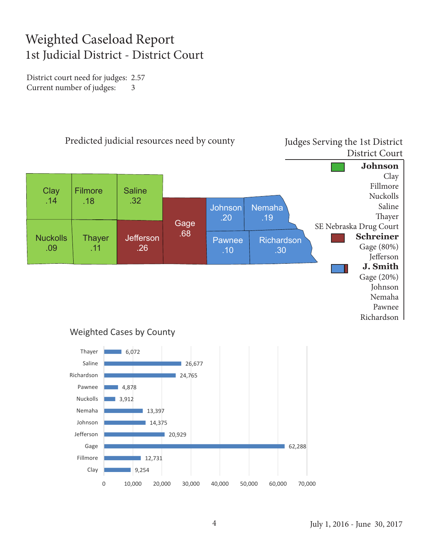## Weighted Caseload Report 1st Judicial District - District Court

District court need for judges: 2.57 Current number of judges: 3



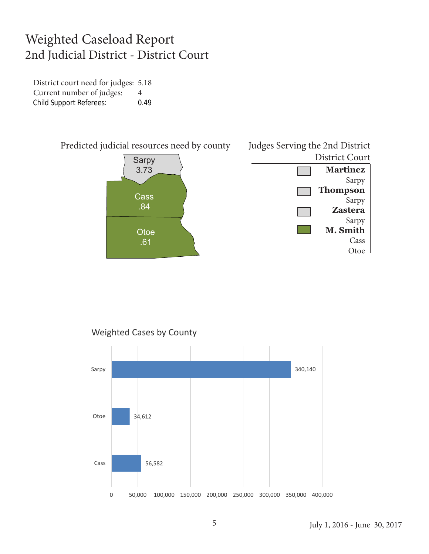#### Weighted Caseload Report 2nd Judicial District - District Court

District court need for judges: 5.18 Current number of judges: 4 Child Support Referees: 0.49



Weighted Cases by County

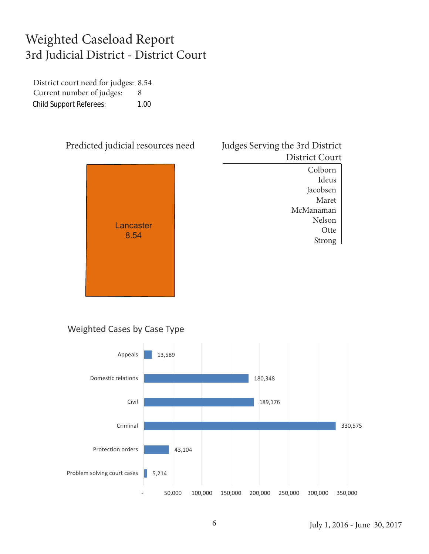## Weighted Caseload Report 3rd Judicial District - District Court

District court need for judges: 8.54 Current number of judges: 8 Child Support Referees: 1.00





Ideus Jacobsen Maret McManaman Nelson **Otte** Strong

#### Weighted Cases by Case Type

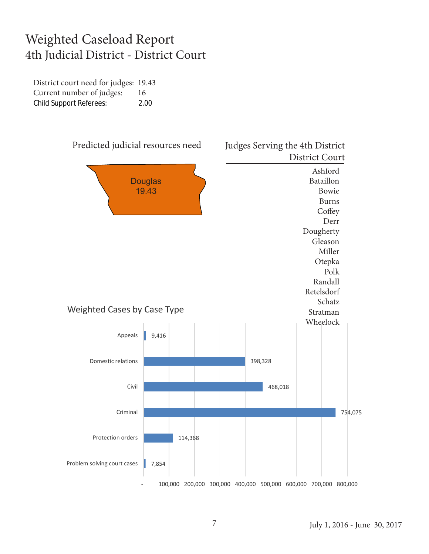#### Weighted Caseload Report 4th Judicial District - District Court

District court need for judges: 19.43 Current number of judges: 16 Child Support Referees: 2.00

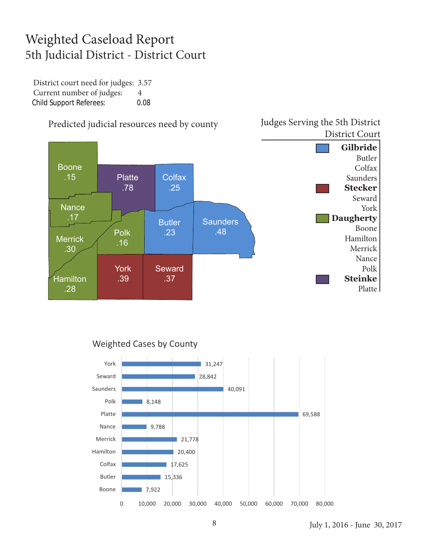## Weighted Caseload Report 5th Judicial District - District Court

District court need for judges: 3.57 Current number of judges: 4 Child Support Referees: 0.08



#### Predicted judicial resources need by county

#### Weighted Cases by County



Judges Serving the 5th District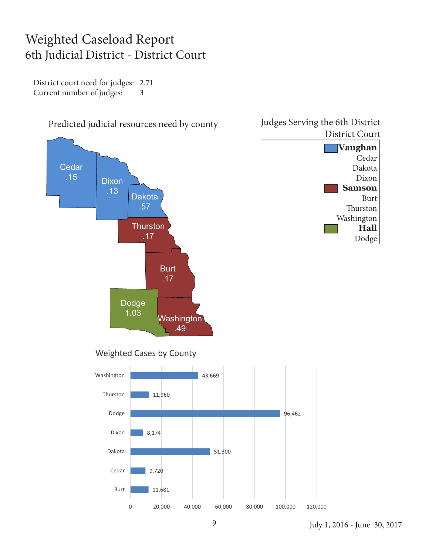#### Weighted Caseload Report 6th Judicial District - District Court

District court need for judges: 2.71 Current number of judges: 3

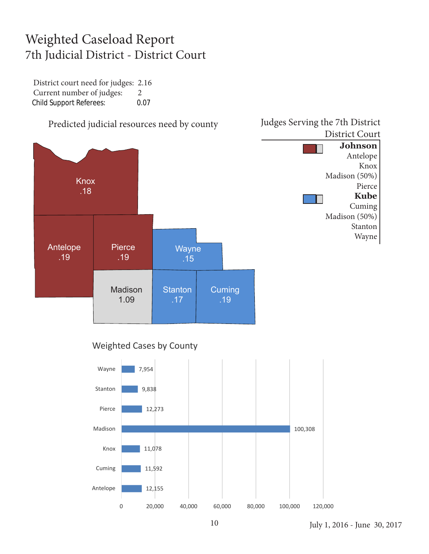## Weighted Caseload Report 7th Judicial District - District Court

District court need for judges: 2.16 Current number of judges: 2 Child Support Referees: 0.07



#### Weighted Cases by County

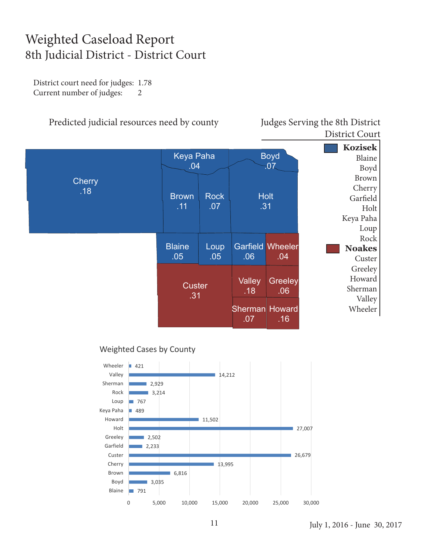## Weighted Caseload Report 8th Judicial District - District Court

District court need for judges: 1.78 Current number of judges: 2

Predicted judicial resources need by county Judges Serving the 8th District

District Court



#### Weighted Cases by County

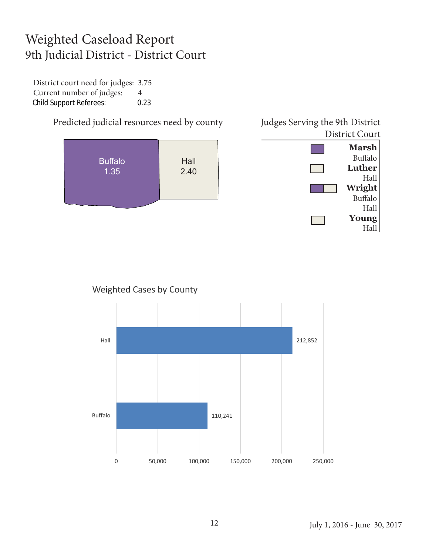## Weighted Caseload Report 9th Judicial District - District Court

District court need for judges: 3.75 Current number of judges: 4 Child Support Referees: 0.23





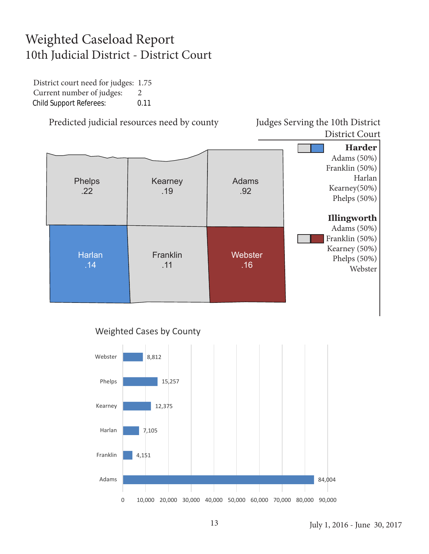## Weighted Caseload Report 10th Judicial District - District Court

District court need for judges: 1.75 Current number of judges: 2 Child Support Referees: 0.11

Predicted judicial resources need by county Judges Serving the 10th District

District Court





#### July 1, 2016 - June 30, 2017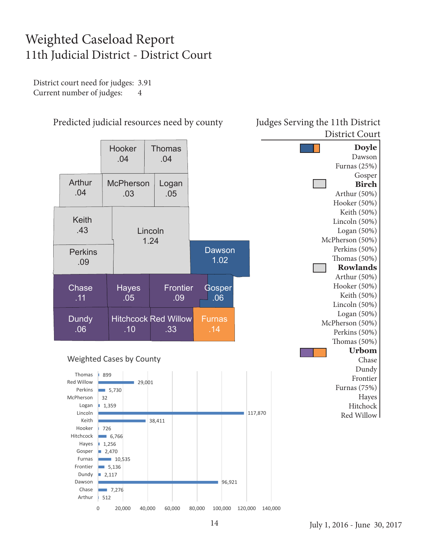## Weighted Caseload Report 11th Judicial District - District Court

District court need for judges: 3.91 Current number of judges: 4



#### Predicted judicial resources need by county Judges Serving the 11th District

## District Court